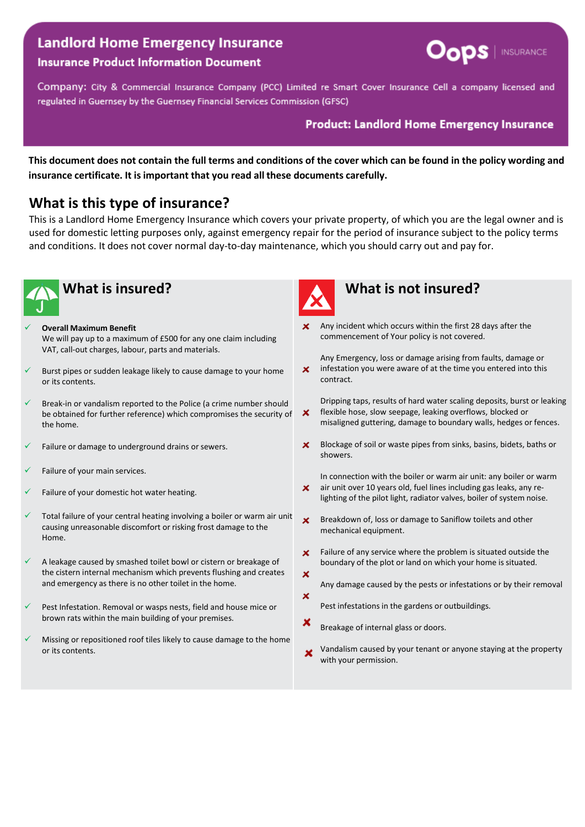# **Landlord Home Emergency Insurance**



#### **Insurance Product Information Document**

Company: City & Commercial Insurance Company (PCC) Limited re Smart Cover Insurance Cell a company licensed and regulated in Guernsey by the Guernsey Financial Services Commission (GFSC)

#### **Product: Landlord Home Emergency Insurance**

This document does not contain the full terms and conditions of the cover which can be found in the policy wording and **insurance certificate. It isimportant that you read all these documents carefully.**

# **What is this type of insurance?**

This is a Landlord Home Emergency Insurance which covers your private property, of which you are the legal owner and is used for domestic letting purposes only, against emergency repair for the period of insurance subject to the policy terms and conditions. It does not cover normal day-to-day maintenance, which you should carry out and pay for.



- **Overall Maximum Benefit**
- We will pay up to a maximum of £500 for any one claim including VAT, call-out charges, labour, parts and materials.
- Burst pipes or sudden leakage likely to cause damage to your home or its contents.
- Break-in or vandalism reported to the Police (a crime number should be obtained for further reference) which compromises the security of the home.
- Failure or damage to underground drains or sewers.
- Failure of your main services.
- Failure of your domestic hot water heating.
- Total failure of your central heating involving a boiler or warm air unit causing unreasonable discomfort or risking frost damage to the Home.
- A leakage caused by smashed toilet bowl or cistern or breakage of the cistern internal mechanism which prevents flushing and creates and emergency as there is no other toilet in the home.
- Pest Infestation. Removal or wasps nests, field and house mice or brown rats within the main building of your premises.
- Missing or repositioned roof tiles likely to cause damage to the home or its contents.



# **What is insured? What is not insured?**

Any incident which occurs within the first 28 days after the commencement of Your policy is not covered.

Any Emergency, loss or damage arising from faults, damage or  $\mathbf{x}$ infestation you were aware of at the time you entered into this contract.

Dripping taps, results of hard water scaling deposits, burst or leaking flexible hose, slow seepage, leaking overflows, blocked or  $\boldsymbol{\mathsf{x}}$ misaligned guttering, damage to boundary walls, hedges or fences.

- Blockage of soil or waste pipes from sinks, basins, bidets, baths or  $\mathsf{x}$ showers.
- In connection with the boiler or warm air unit: any boiler or warm air unit over 10 years old, fuel lines including gas leaks, any re- $\mathbf{x}$ lighting of the pilot light, radiator valves, boiler of system noise.
- $\mathbf{x}$ Breakdown of, loss or damage to Saniflow toilets and other mechanical equipment.
- ×. Failure of any service where the problem is situated outside the boundary of the plot or land on which your home is situated. ×
- Any damage caused by the pests or infestations or by their removal ×
	- Pest infestations in the gardens or outbuildings.
- × Breakage of internal glass or doors.
- Vandalism caused by your tenant or anyone staying at the property  $\boldsymbol{\mathsf{x}}$ with your permission.